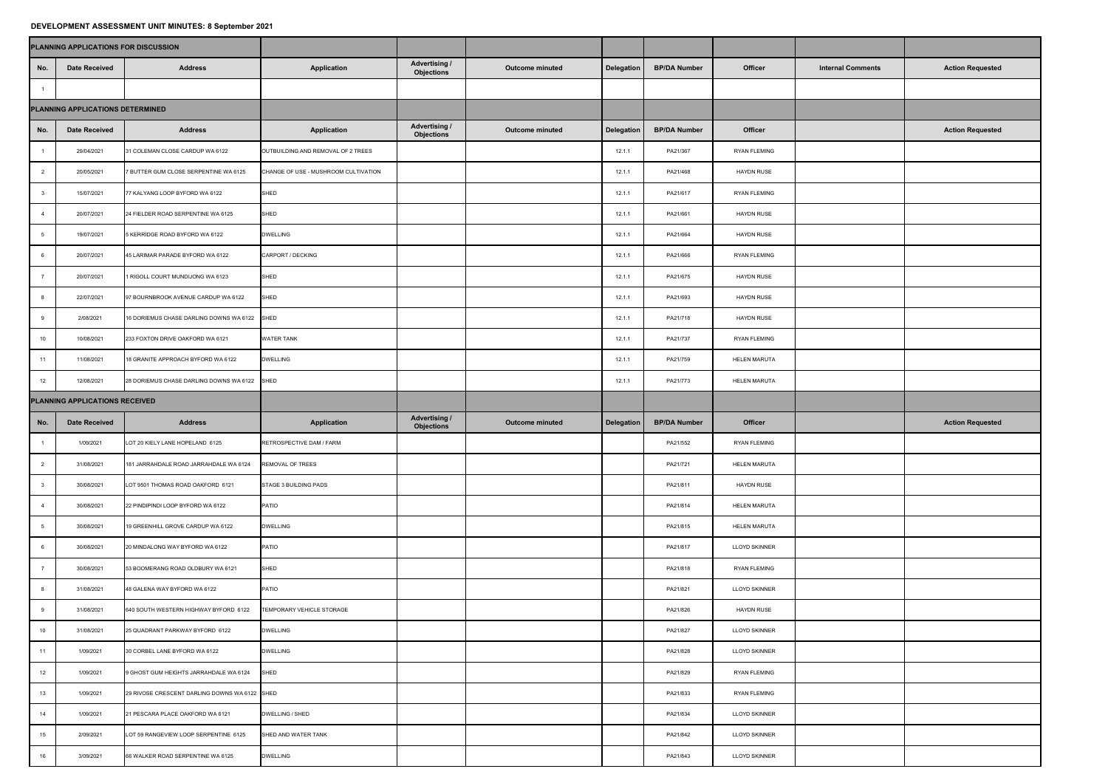## **DEVELOPMENT ASSESSMENT UNIT MINUTES: 8 September 2021**

| PLANNING APPLICATIONS FOR DISCUSSION |                                |                                               |                                      |                                           |                        |                   |                     |                      |                          |                         |  |
|--------------------------------------|--------------------------------|-----------------------------------------------|--------------------------------------|-------------------------------------------|------------------------|-------------------|---------------------|----------------------|--------------------------|-------------------------|--|
| No.                                  | <b>Date Received</b>           | <b>Address</b>                                | <b>Application</b>                   | <b>Advertising /</b><br><b>Objections</b> | <b>Outcome minuted</b> | <b>Delegation</b> | <b>BP/DA Number</b> | <b>Officer</b>       | <b>Internal Comments</b> | <b>Action Requested</b> |  |
|                                      |                                |                                               |                                      |                                           |                        |                   |                     |                      |                          |                         |  |
| PLANNING APPLICATIONS DETERMINED     |                                |                                               |                                      |                                           |                        |                   |                     |                      |                          |                         |  |
| No.                                  | <b>Date Received</b>           | <b>Address</b>                                | <b>Application</b>                   | <b>Advertising /</b><br><b>Objections</b> | <b>Outcome minuted</b> | Delegation        | <b>BP/DA Number</b> | <b>Officer</b>       |                          | <b>Action Requested</b> |  |
|                                      | 29/04/2021                     | 31 COLEMAN CLOSE CARDUP WA 6122               | OUTBUILDING AND REMOVAL OF 2 TREES   |                                           |                        | 12.1.1            | PA21/367            | <b>RYAN FLEMING</b>  |                          |                         |  |
|                                      | 20/05/2021                     | 7 BUTTER GUM CLOSE SERPENTINE WA 6125         | CHANGE OF USE - MUSHROOM CULTIVATION |                                           |                        | 12.1.1            | PA21/468            | <b>HAYDN RUSE</b>    |                          |                         |  |
|                                      | 15/07/2021                     | 77 KALYANG LOOP BYFORD WA 6122                | SHED                                 |                                           |                        | 12.1.1            | PA21/617            | <b>RYAN FLEMING</b>  |                          |                         |  |
|                                      | 20/07/2021                     | 24 FIELDER ROAD SERPENTINE WA 6125            | SHED                                 |                                           |                        | 12.1.1            | PA21/661            | <b>HAYDN RUSE</b>    |                          |                         |  |
|                                      | 19/07/2021                     | 5 KERRIDGE ROAD BYFORD WA 6122                | <b>DWELLING</b>                      |                                           |                        | 12.1.1            | PA21/664            | <b>HAYDN RUSE</b>    |                          |                         |  |
|                                      | 20/07/2021                     | 45 LARIMAR PARADE BYFORD WA 6122              | CARPORT / DECKING                    |                                           |                        | 12.1.1            | PA21/666            | <b>RYAN FLEMING</b>  |                          |                         |  |
|                                      | 20/07/2021                     | 1 RIGOLL COURT MUNDIJONG WA 6123              | SHED                                 |                                           |                        | 12.1.1            | PA21/675            | <b>HAYDN RUSE</b>    |                          |                         |  |
|                                      | 22/07/2021                     | 97 BOURNBROOK AVENUE CARDUP WA 6122           | SHED                                 |                                           |                        | 12.1.1            | PA21/693            | <b>HAYDN RUSE</b>    |                          |                         |  |
|                                      | 2/08/2021                      | 16 DORIEMUS CHASE DARLING DOWNS WA 6122 SHED  |                                      |                                           |                        | 12.1.1            | PA21/718            | <b>HAYDN RUSE</b>    |                          |                         |  |
| 10                                   | 10/08/2021                     | 233 FOXTON DRIVE OAKFORD WA 6121              | <b>WATER TANK</b>                    |                                           |                        | 12.1.1            | PA21/737            | <b>RYAN FLEMING</b>  |                          |                         |  |
| 11                                   | 11/08/2021                     | 18 GRANITE APPROACH BYFORD WA 6122            | <b>DWELLING</b>                      |                                           |                        | 12.1.1            | PA21/759            | <b>HELEN MARUTA</b>  |                          |                         |  |
| 12                                   | 12/08/2021                     | 28 DORIEMUS CHASE DARLING DOWNS WA 6122 SHED  |                                      |                                           |                        | 12.1.1            | PA21/773            | <b>HELEN MARUTA</b>  |                          |                         |  |
|                                      | PLANNING APPLICATIONS RECEIVED |                                               |                                      |                                           |                        |                   |                     |                      |                          |                         |  |
| No.                                  | <b>Date Received</b>           | <b>Address</b>                                | <b>Application</b>                   | <b>Advertising /</b><br><b>Objections</b> | <b>Outcome minuted</b> | Delegation        | <b>BP/DA Number</b> | <b>Officer</b>       |                          | <b>Action Requested</b> |  |
|                                      | 1/09/2021                      | LOT 20 KIELY LANE HOPELAND 6125               | RETROSPECTIVE DAM / FARM             |                                           |                        |                   | PA21/552            | <b>RYAN FLEMING</b>  |                          |                         |  |
| $\overline{2}$                       | 31/08/2021                     | 181 JARRAHDALE ROAD JARRAHDALE WA 6124        | <b>REMOVAL OF TREES</b>              |                                           |                        |                   | PA21/721            | <b>HELEN MARUTA</b>  |                          |                         |  |
|                                      | 30/08/2021                     | LOT 9501 THOMAS ROAD OAKFORD 6121             | STAGE 3 BUILDING PADS                |                                           |                        |                   | PA21/811            | <b>HAYDN RUSE</b>    |                          |                         |  |
|                                      | 30/08/2021                     | 22 PINDIPINDI LOOP BYFORD WA 6122             | PATIO                                |                                           |                        |                   | PA21/814            | <b>HELEN MARUTA</b>  |                          |                         |  |
|                                      | 30/08/2021                     | 19 GREENHILL GROVE CARDUP WA 6122             | <b>DWELLING</b>                      |                                           |                        |                   | PA21/815            | <b>HELEN MARUTA</b>  |                          |                         |  |
|                                      | 30/08/2021                     | 20 MINDALONG WAY BYFORD WA 6122               | <b>PATIO</b>                         |                                           |                        |                   | PA21/817            | <b>LLOYD SKINNER</b> |                          |                         |  |
|                                      | 30/08/2021                     | 53 BOOMERANG ROAD OLDBURY WA 6121             | SHED                                 |                                           |                        |                   | PA21/818            | <b>RYAN FLEMING</b>  |                          |                         |  |
|                                      | 31/08/2021                     | 48 GALENA WAY BYFORD WA 6122                  | PATIO                                |                                           |                        |                   | PA21/821            | <b>LLOYD SKINNER</b> |                          |                         |  |
|                                      | 31/08/2021                     | 640 SOUTH WESTERN HIGHWAY BYFORD 6122         | TEMPORARY VEHICLE STORAGE            |                                           |                        |                   | PA21/826            | <b>HAYDN RUSE</b>    |                          |                         |  |
| 10                                   | 31/08/2021                     | 25 QUADRANT PARKWAY BYFORD 6122               | <b>DWELLING</b>                      |                                           |                        |                   | PA21/827            | <b>LLOYD SKINNER</b> |                          |                         |  |
| 11                                   | 1/09/2021                      | 30 CORBEL LANE BYFORD WA 6122                 | <b>DWELLING</b>                      |                                           |                        |                   | PA21/828            | <b>LLOYD SKINNER</b> |                          |                         |  |
| 12                                   | 1/09/2021                      | 9 GHOST GUM HEIGHTS JARRAHDALE WA 6124        | SHED                                 |                                           |                        |                   | PA21/829            | <b>RYAN FLEMING</b>  |                          |                         |  |
| 13                                   | 1/09/2021                      | 29 RIVOSE CRESCENT DARLING DOWNS WA 6122 SHED |                                      |                                           |                        |                   | PA21/833            | <b>RYAN FLEMING</b>  |                          |                         |  |
| 14                                   |                                |                                               |                                      |                                           |                        |                   |                     |                      |                          |                         |  |
|                                      | 1/09/2021                      | 21 PESCARA PLACE OAKFORD WA 6121              | DWELLING / SHED                      |                                           |                        |                   | PA21/834            | <b>LLOYD SKINNER</b> |                          |                         |  |
| 15                                   | 2/09/2021                      | LOT 59 RANGEVIEW LOOP SERPENTINE 6125         | SHED AND WATER TANK                  |                                           |                        |                   | PA21/842            | <b>LLOYD SKINNER</b> |                          |                         |  |